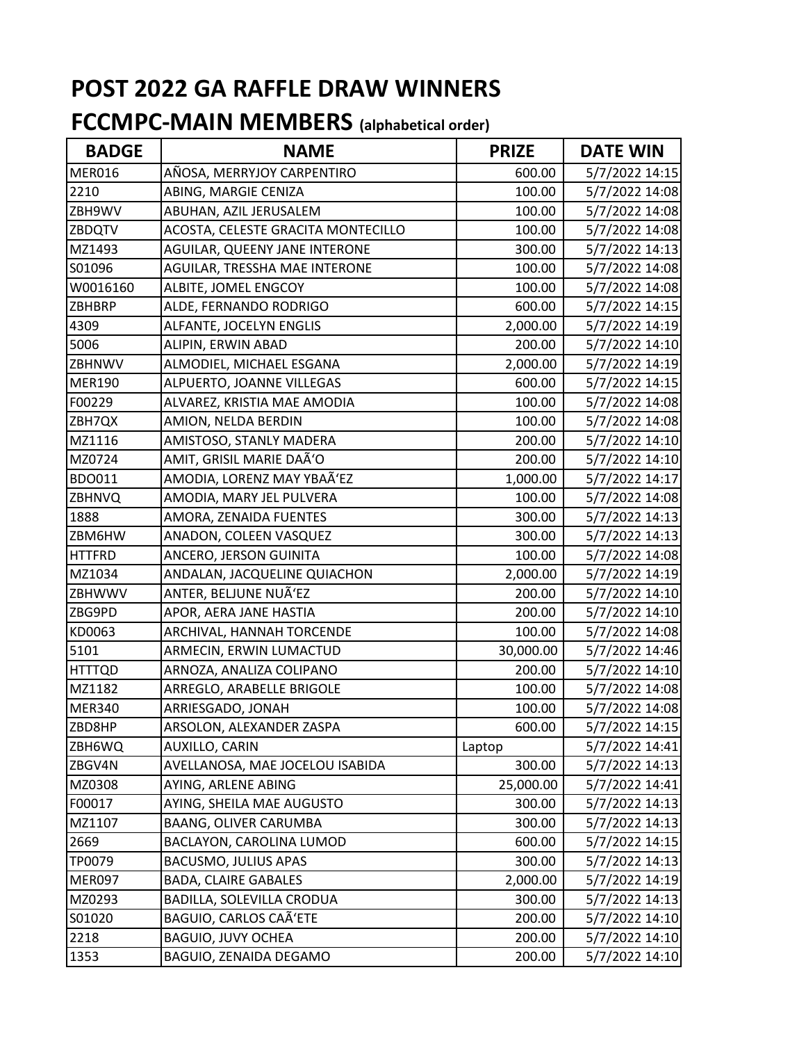| <b>BADGE</b>  | <b>NAME</b>                        | <b>PRIZE</b> | <b>DATE WIN</b> |
|---------------|------------------------------------|--------------|-----------------|
| <b>MER016</b> | AÑOSA, MERRYJOY CARPENTIRO         | 600.00       | 5/7/2022 14:15  |
| 2210          | ABING, MARGIE CENIZA               | 100.00       | 5/7/2022 14:08  |
| ZBH9WV        | ABUHAN, AZIL JERUSALEM             | 100.00       | 5/7/2022 14:08  |
| ZBDQTV        | ACOSTA, CELESTE GRACITA MONTECILLO | 100.00       | 5/7/2022 14:08  |
| MZ1493        | AGUILAR, QUEENY JANE INTERONE      | 300.00       | 5/7/2022 14:13  |
| S01096        | AGUILAR, TRESSHA MAE INTERONE      | 100.00       | 5/7/2022 14:08  |
| W0016160      | ALBITE, JOMEL ENGCOY               | 100.00       | 5/7/2022 14:08  |
| <b>ZBHBRP</b> | ALDE, FERNANDO RODRIGO             | 600.00       | 5/7/2022 14:15  |
| 4309          | ALFANTE, JOCELYN ENGLIS            | 2,000.00     | 5/7/2022 14:19  |
| 5006          | ALIPIN, ERWIN ABAD                 | 200.00       | 5/7/2022 14:10  |
| ZBHNWV        | ALMODIEL, MICHAEL ESGANA           | 2,000.00     | 5/7/2022 14:19  |
| <b>MER190</b> | ALPUERTO, JOANNE VILLEGAS          | 600.00       | 5/7/2022 14:15  |
| F00229        | ALVAREZ, KRISTIA MAE AMODIA        | 100.00       | 5/7/2022 14:08  |
| ZBH7QX        | AMION, NELDA BERDIN                | 100.00       | 5/7/2022 14:08  |
| MZ1116        | AMISTOSO, STANLY MADERA            | 200.00       | 5/7/2022 14:10  |
| MZ0724        | AMIT, GRISIL MARIE DAÑO            | 200.00       | 5/7/2022 14:10  |
| BDO011        | AMODIA, LORENZ MAY YBAÃ'EZ         | 1,000.00     | 5/7/2022 14:17  |
| ZBHNVQ        | AMODIA, MARY JEL PULVERA           | 100.00       | 5/7/2022 14:08  |
| 1888          | AMORA, ZENAIDA FUENTES             | 300.00       | 5/7/2022 14:13  |
| ZBM6HW        | ANADON, COLEEN VASQUEZ             | 300.00       | 5/7/2022 14:13  |
| <b>HTTFRD</b> | ANCERO, JERSON GUINITA             | 100.00       | 5/7/2022 14:08  |
| MZ1034        | ANDALAN, JACQUELINE QUIACHON       | 2,000.00     | 5/7/2022 14:19  |
| ZBHWWV        | ANTER, BELJUNE NUÑEZ               | 200.00       | 5/7/2022 14:10  |
| ZBG9PD        | APOR, AERA JANE HASTIA             | 200.00       | 5/7/2022 14:10  |
| KD0063        | ARCHIVAL, HANNAH TORCENDE          | 100.00       | 5/7/2022 14:08  |
| 5101          | ARMECIN, ERWIN LUMACTUD            | 30,000.00    | 5/7/2022 14:46  |
| <b>HTTTQD</b> | ARNOZA, ANALIZA COLIPANO           | 200.00       | 5/7/2022 14:10  |
| MZ1182        | ARREGLO, ARABELLE BRIGOLE          | 100.00       | 5/7/2022 14:08  |
| <b>MER340</b> | ARRIESGADO, JONAH                  | 100.00       | 5/7/2022 14:08  |
| ZBD8HP        | ARSOLON, ALEXANDER ZASPA           | 600.00       | 5/7/2022 14:15  |
| ZBH6WQ        | AUXILLO, CARIN                     | Laptop       | 5/7/2022 14:41  |
| ZBGV4N        | AVELLANOSA, MAE JOCELOU ISABIDA    | 300.00       | 5/7/2022 14:13  |
| MZ0308        | AYING, ARLENE ABING                | 25,000.00    | 5/7/2022 14:41  |
| F00017        | AYING, SHEILA MAE AUGUSTO          | 300.00       | 5/7/2022 14:13  |
| MZ1107        | BAANG, OLIVER CARUMBA              | 300.00       | 5/7/2022 14:13  |
| 2669          | BACLAYON, CAROLINA LUMOD           | 600.00       | 5/7/2022 14:15  |
| TP0079        | <b>BACUSMO, JULIUS APAS</b>        | 300.00       | 5/7/2022 14:13  |
| MER097        | <b>BADA, CLAIRE GABALES</b>        | 2,000.00     | 5/7/2022 14:19  |
| MZ0293        | BADILLA, SOLEVILLA CRODUA          | 300.00       | 5/7/2022 14:13  |
| S01020        | BAGUIO, CARLOS CAÑETE              | 200.00       | 5/7/2022 14:10  |
| 2218          | <b>BAGUIO, JUVY OCHEA</b>          | 200.00       | 5/7/2022 14:10  |
| 1353          | BAGUIO, ZENAIDA DEGAMO             | 200.00       | 5/7/2022 14:10  |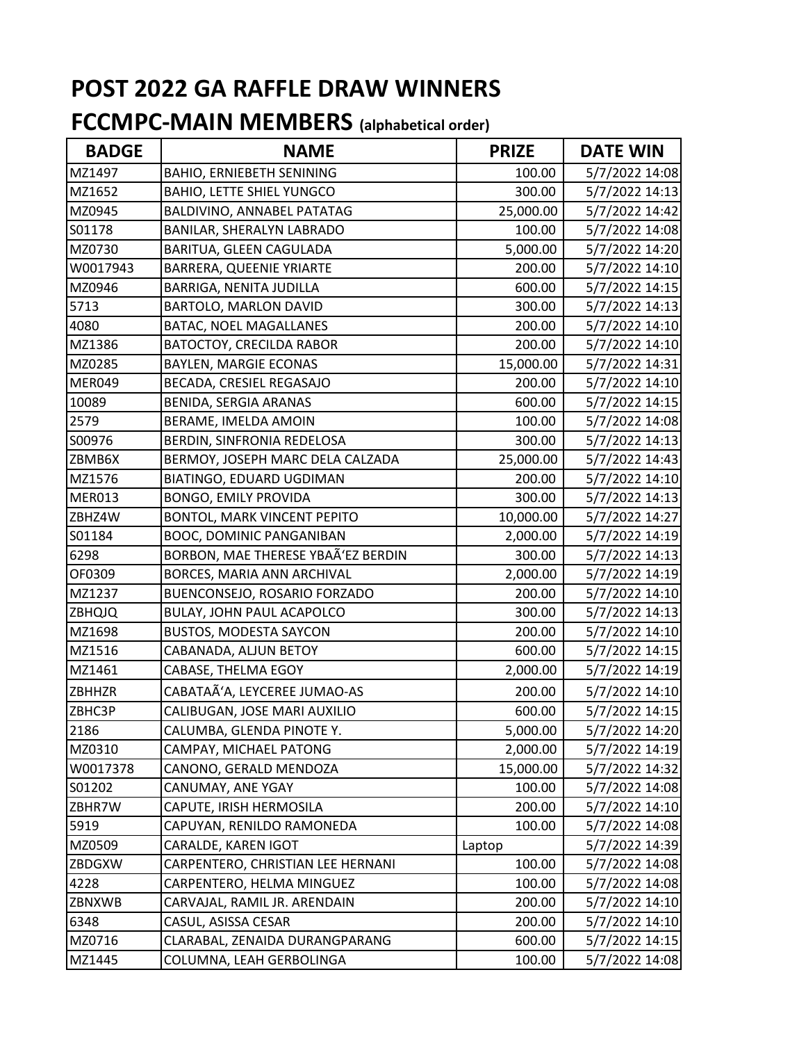| <b>BADGE</b>      | <b>NAME</b>                        | <b>PRIZE</b> | <b>DATE WIN</b> |
|-------------------|------------------------------------|--------------|-----------------|
| MZ1497            | <b>BAHIO, ERNIEBETH SENINING</b>   | 100.00       | 5/7/2022 14:08  |
| MZ1652            | <b>BAHIO, LETTE SHIEL YUNGCO</b>   | 300.00       | 5/7/2022 14:13  |
| MZ0945            | BALDIVINO, ANNABEL PATATAG         | 25,000.00    | 5/7/2022 14:42  |
| S01178            | BANILAR, SHERALYN LABRADO          | 100.00       | 5/7/2022 14:08  |
| MZ0730            | BARITUA, GLEEN CAGULADA            | 5,000.00     | 5/7/2022 14:20  |
| W0017943          | BARRERA, QUEENIE YRIARTE           | 200.00       | 5/7/2022 14:10  |
| MZ0946            | <b>BARRIGA, NENITA JUDILLA</b>     | 600.00       | 5/7/2022 14:15  |
| 5713              | BARTOLO, MARLON DAVID              | 300.00       | 5/7/2022 14:13  |
| 4080              | BATAC, NOEL MAGALLANES             | 200.00       | 5/7/2022 14:10  |
| MZ1386            | <b>BATOCTOY, CRECILDA RABOR</b>    | 200.00       | 5/7/2022 14:10  |
| MZ0285            | <b>BAYLEN, MARGIE ECONAS</b>       | 15,000.00    | 5/7/2022 14:31  |
| MER049            | BECADA, CRESIEL REGASAJO           | 200.00       | 5/7/2022 14:10  |
| 10089             | BENIDA, SERGIA ARANAS              | 600.00       | 5/7/2022 14:15  |
| 2579              | BERAME, IMELDA AMOIN               | 100.00       | 5/7/2022 14:08  |
| S00976            | BERDIN, SINFRONIA REDELOSA         | 300.00       | 5/7/2022 14:13  |
| ZBMB6X            | BERMOY, JOSEPH MARC DELA CALZADA   | 25,000.00    | 5/7/2022 14:43  |
| MZ1576            | BIATINGO, EDUARD UGDIMAN           | 200.00       | 5/7/2022 14:10  |
| <b>MER013</b>     | <b>BONGO, EMILY PROVIDA</b>        | 300.00       | 5/7/2022 14:13  |
| ZBHZ4W            | BONTOL, MARK VINCENT PEPITO        | 10,000.00    | 5/7/2022 14:27  |
| S01184            | BOOC, DOMINIC PANGANIBAN           | 2,000.00     | 5/7/2022 14:19  |
| 6298              | BORBON, MAE THERESE YBAÃ'EZ BERDIN | 300.00       | 5/7/2022 14:13  |
| OF0309            | BORCES, MARIA ANN ARCHIVAL         | 2,000.00     | 5/7/2022 14:19  |
| MZ1237            | BUENCONSEJO, ROSARIO FORZADO       | 200.00       | 5/7/2022 14:10  |
| ZBHQJQ            | BULAY, JOHN PAUL ACAPOLCO          | 300.00       | 5/7/2022 14:13  |
| MZ1698            | <b>BUSTOS, MODESTA SAYCON</b>      | 200.00       | 5/7/2022 14:10  |
| MZ1516            | CABANADA, ALJUN BETOY              | 600.00       | 5/7/2022 14:15  |
| MZ1461            | CABASE, THELMA EGOY                | 2,000.00     | 5/7/2022 14:19  |
| ZBHHZR            | CABATAÃ'A, LEYCEREE JUMAO-AS       | 200.00       | 5/7/2022 14:10  |
| ZBHC3P            | CALIBUGAN, JOSE MARI AUXILIO       | 600.00       | 5/7/2022 14:15  |
| $\overline{2186}$ | CALUMBA, GLENDA PINOTE Y.          | 5,000.00     | 5/7/2022 14:20  |
| MZ0310            | CAMPAY, MICHAEL PATONG             | 2,000.00     | 5/7/2022 14:19  |
| W0017378          | CANONO, GERALD MENDOZA             | 15,000.00    | 5/7/2022 14:32  |
| S01202            | CANUMAY, ANE YGAY                  | 100.00       | 5/7/2022 14:08  |
| ZBHR7W            | CAPUTE, IRISH HERMOSILA            | 200.00       | 5/7/2022 14:10  |
| 5919              | CAPUYAN, RENILDO RAMONEDA          | 100.00       | 5/7/2022 14:08  |
| MZ0509            | CARALDE, KAREN IGOT                | Laptop       | 5/7/2022 14:39  |
| ZBDGXW            | CARPENTERO, CHRISTIAN LEE HERNANI  | 100.00       | 5/7/2022 14:08  |
| 4228              | CARPENTERO, HELMA MINGUEZ          | 100.00       | 5/7/2022 14:08  |
| ZBNXWB            | CARVAJAL, RAMIL JR. ARENDAIN       | 200.00       | 5/7/2022 14:10  |
| 6348              | CASUL, ASISSA CESAR                | 200.00       | 5/7/2022 14:10  |
| MZ0716            | CLARABAL, ZENAIDA DURANGPARANG     | 600.00       | 5/7/2022 14:15  |
| MZ1445            | COLUMNA, LEAH GERBOLINGA           | 100.00       | 5/7/2022 14:08  |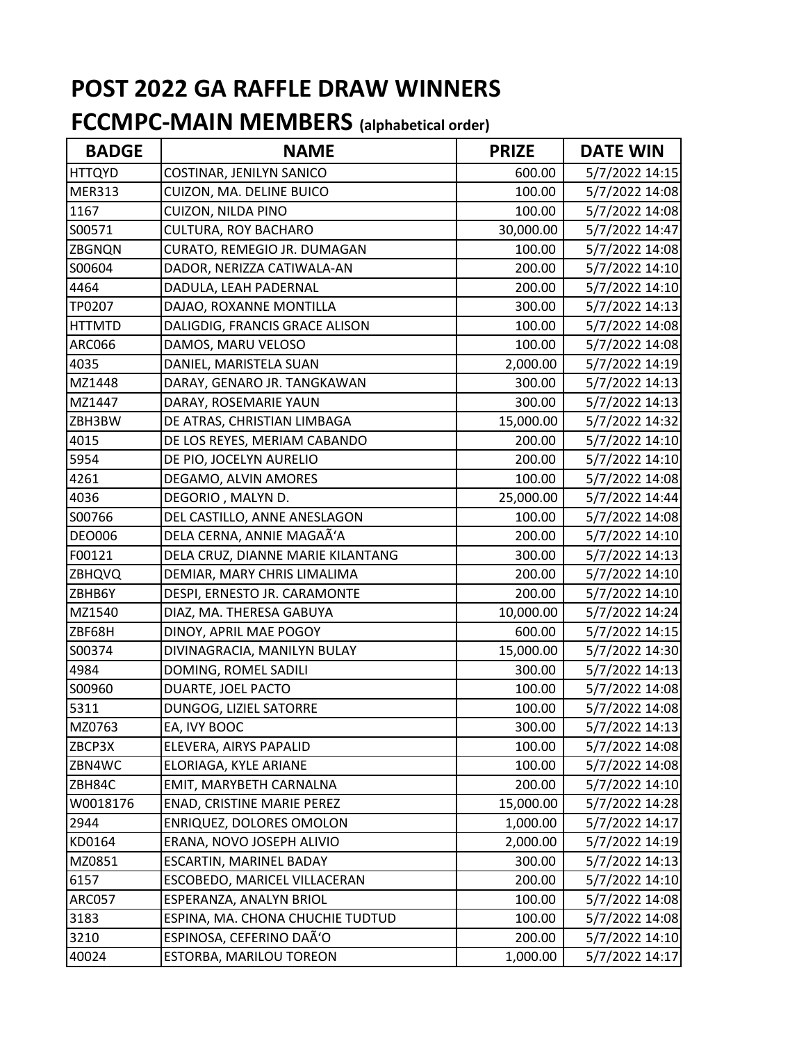| <b>BADGE</b>  | <b>NAME</b>                       | <b>PRIZE</b> | <b>DATE WIN</b> |
|---------------|-----------------------------------|--------------|-----------------|
| <b>HTTQYD</b> | COSTINAR, JENILYN SANICO          | 600.00       | 5/7/2022 14:15  |
| <b>MER313</b> | CUIZON, MA. DELINE BUICO          | 100.00       | 5/7/2022 14:08  |
| 1167          | <b>CUIZON, NILDA PINO</b>         | 100.00       | 5/7/2022 14:08  |
| S00571        | CULTURA, ROY BACHARO              | 30,000.00    | 5/7/2022 14:47  |
| <b>ZBGNQN</b> | CURATO, REMEGIO JR. DUMAGAN       | 100.00       | 5/7/2022 14:08  |
| S00604        | DADOR, NERIZZA CATIWALA-AN        | 200.00       | 5/7/2022 14:10  |
| 4464          | DADULA, LEAH PADERNAL             | 200.00       | 5/7/2022 14:10  |
| TP0207        | DAJAO, ROXANNE MONTILLA           | 300.00       | 5/7/2022 14:13  |
| <b>HTTMTD</b> | DALIGDIG, FRANCIS GRACE ALISON    | 100.00       | 5/7/2022 14:08  |
| <b>ARC066</b> | DAMOS, MARU VELOSO                | 100.00       | 5/7/2022 14:08  |
| 4035          | DANIEL, MARISTELA SUAN            | 2,000.00     | 5/7/2022 14:19  |
| MZ1448        | DARAY, GENARO JR. TANGKAWAN       | 300.00       | 5/7/2022 14:13  |
| MZ1447        | DARAY, ROSEMARIE YAUN             | 300.00       | 5/7/2022 14:13  |
| ZBH3BW        | DE ATRAS, CHRISTIAN LIMBAGA       | 15,000.00    | 5/7/2022 14:32  |
| 4015          | DE LOS REYES, MERIAM CABANDO      | 200.00       | 5/7/2022 14:10  |
| 5954          | DE PIO, JOCELYN AURELIO           | 200.00       | 5/7/2022 14:10  |
| 4261          | DEGAMO, ALVIN AMORES              | 100.00       | 5/7/2022 14:08  |
| 4036          | DEGORIO, MALYN D.                 | 25,000.00    | 5/7/2022 14:44  |
| S00766        | DEL CASTILLO, ANNE ANESLAGON      | 100.00       | 5/7/2022 14:08  |
| <b>DEO006</b> | DELA CERNA, ANNIE MAGAÃ'A         | 200.00       | 5/7/2022 14:10  |
| F00121        | DELA CRUZ, DIANNE MARIE KILANTANG | 300.00       | 5/7/2022 14:13  |
| <b>ZBHQVQ</b> | DEMIAR, MARY CHRIS LIMALIMA       | 200.00       | 5/7/2022 14:10  |
| ZBHB6Y        | DESPI, ERNESTO JR. CARAMONTE      | 200.00       | 5/7/2022 14:10  |
| MZ1540        | DIAZ, MA. THERESA GABUYA          | 10,000.00    | 5/7/2022 14:24  |
| ZBF68H        | DINOY, APRIL MAE POGOY            | 600.00       | 5/7/2022 14:15  |
| S00374        | DIVINAGRACIA, MANILYN BULAY       | 15,000.00    | 5/7/2022 14:30  |
| 4984          | DOMING, ROMEL SADILI              | 300.00       | 5/7/2022 14:13  |
| S00960        | DUARTE, JOEL PACTO                | 100.00       | 5/7/2022 14:08  |
| 5311          | DUNGOG, LIZIEL SATORRE            | 100.00       | 5/7/2022 14:08  |
| MZ0763        | EA, IVY BOOC                      | 300.00       | 5/7/2022 14:13  |
| ZBCP3X        | ELEVERA, AIRYS PAPALID            | 100.00       | 5/7/2022 14:08  |
| ZBN4WC        | ELORIAGA, KYLE ARIANE             | 100.00       | 5/7/2022 14:08  |
| ZBH84C        | EMIT, MARYBETH CARNALNA           | 200.00       | 5/7/2022 14:10  |
| W0018176      | ENAD, CRISTINE MARIE PEREZ        | 15,000.00    | 5/7/2022 14:28  |
| 2944          | ENRIQUEZ, DOLORES OMOLON          | 1,000.00     | 5/7/2022 14:17  |
| KD0164        | ERANA, NOVO JOSEPH ALIVIO         | 2,000.00     | 5/7/2022 14:19  |
| MZ0851        | ESCARTIN, MARINEL BADAY           | 300.00       | 5/7/2022 14:13  |
| 6157          | ESCOBEDO, MARICEL VILLACERAN      | 200.00       | 5/7/2022 14:10  |
| <b>ARC057</b> | ESPERANZA, ANALYN BRIOL           | 100.00       | 5/7/2022 14:08  |
| 3183          | ESPINA, MA. CHONA CHUCHIE TUDTUD  | 100.00       | 5/7/2022 14:08  |
| 3210          | ESPINOSA, CEFERINO DAÃ'O          | 200.00       | 5/7/2022 14:10  |
| 40024         | ESTORBA, MARILOU TOREON           | 1,000.00     | 5/7/2022 14:17  |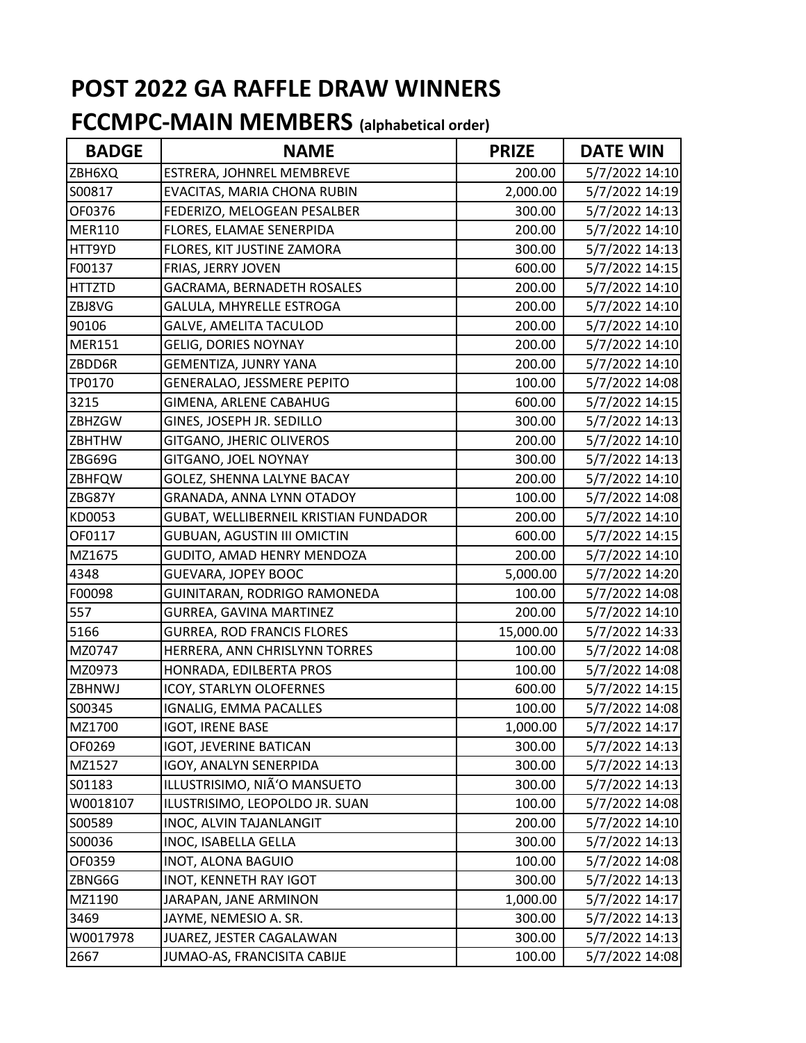| <b>BADGE</b>  | <b>NAME</b>                           | <b>PRIZE</b> | <b>DATE WIN</b> |
|---------------|---------------------------------------|--------------|-----------------|
| ZBH6XQ        | ESTRERA, JOHNREL MEMBREVE             | 200.00       | 5/7/2022 14:10  |
| S00817        | EVACITAS, MARIA CHONA RUBIN           | 2,000.00     | 5/7/2022 14:19  |
| OF0376        | FEDERIZO, MELOGEAN PESALBER           | 300.00       | 5/7/2022 14:13  |
| <b>MER110</b> | FLORES, ELAMAE SENERPIDA              | 200.00       | 5/7/2022 14:10  |
| HTT9YD        | FLORES, KIT JUSTINE ZAMORA            | 300.00       | 5/7/2022 14:13  |
| F00137        | FRIAS, JERRY JOVEN                    | 600.00       | 5/7/2022 14:15  |
| <b>HTTZTD</b> | GACRAMA, BERNADETH ROSALES            | 200.00       | 5/7/2022 14:10  |
| ZBJ8VG        | GALULA, MHYRELLE ESTROGA              | 200.00       | 5/7/2022 14:10  |
| 90106         | <b>GALVE, AMELITA TACULOD</b>         | 200.00       | 5/7/2022 14:10  |
| <b>MER151</b> | <b>GELIG, DORIES NOYNAY</b>           | 200.00       | 5/7/2022 14:10  |
| ZBDD6R        | <b>GEMENTIZA, JUNRY YANA</b>          | 200.00       | 5/7/2022 14:10  |
| TP0170        | GENERALAO, JESSMERE PEPITO            | 100.00       | 5/7/2022 14:08  |
| 3215          | GIMENA, ARLENE CABAHUG                | 600.00       | 5/7/2022 14:15  |
| ZBHZGW        | GINES, JOSEPH JR. SEDILLO             | 300.00       | 5/7/2022 14:13  |
| <b>ZBHTHW</b> | GITGANO, JHERIC OLIVEROS              | 200.00       | 5/7/2022 14:10  |
| ZBG69G        | GITGANO, JOEL NOYNAY                  | 300.00       | 5/7/2022 14:13  |
| <b>ZBHFQW</b> | GOLEZ, SHENNA LALYNE BACAY            | 200.00       | 5/7/2022 14:10  |
| ZBG87Y        | GRANADA, ANNA LYNN OTADOY             | 100.00       | 5/7/2022 14:08  |
| KD0053        | GUBAT, WELLIBERNEIL KRISTIAN FUNDADOR | 200.00       | 5/7/2022 14:10  |
| OF0117        | <b>GUBUAN, AGUSTIN III OMICTIN</b>    | 600.00       | 5/7/2022 14:15  |
| MZ1675        | GUDITO, AMAD HENRY MENDOZA            | 200.00       | 5/7/2022 14:10  |
| 4348          | <b>GUEVARA, JOPEY BOOC</b>            | 5,000.00     | 5/7/2022 14:20  |
| F00098        | GUINITARAN, RODRIGO RAMONEDA          | 100.00       | 5/7/2022 14:08  |
| 557           | GURREA, GAVINA MARTINEZ               | 200.00       | 5/7/2022 14:10  |
| 5166          | <b>GURREA, ROD FRANCIS FLORES</b>     | 15,000.00    | 5/7/2022 14:33  |
| MZ0747        | HERRERA, ANN CHRISLYNN TORRES         | 100.00       | 5/7/2022 14:08  |
| MZ0973        | HONRADA, EDILBERTA PROS               | 100.00       | 5/7/2022 14:08  |
| ZBHNWJ        | ICOY, STARLYN OLOFERNES               | 600.00       | 5/7/2022 14:15  |
| S00345        | IGNALIG, EMMA PACALLES                | 100.00       | 5/7/2022 14:08  |
| MZ1700        | <b>IGOT, IRENE BASE</b>               | 1,000.00     | 5/7/2022 14:17  |
| OF0269        | <b>IGOT, JEVERINE BATICAN</b>         | 300.00       | 5/7/2022 14:13  |
| MZ1527        | IGOY, ANALYN SENERPIDA                | 300.00       | 5/7/2022 14:13  |
| S01183        | ILLUSTRISIMO, NIÃ'O MANSUETO          | 300.00       | 5/7/2022 14:13  |
| W0018107      | ILUSTRISIMO, LEOPOLDO JR. SUAN        | 100.00       | 5/7/2022 14:08  |
| S00589        | INOC, ALVIN TAJANLANGIT               | 200.00       | 5/7/2022 14:10  |
| S00036        | INOC, ISABELLA GELLA                  | 300.00       | 5/7/2022 14:13  |
| OF0359        | <b>INOT, ALONA BAGUIO</b>             | 100.00       | 5/7/2022 14:08  |
| ZBNG6G        | <b>INOT, KENNETH RAY IGOT</b>         | 300.00       | 5/7/2022 14:13  |
| MZ1190        | JARAPAN, JANE ARMINON                 | 1,000.00     | 5/7/2022 14:17  |
| 3469          | JAYME, NEMESIO A. SR.                 | 300.00       | 5/7/2022 14:13  |
| W0017978      | JUAREZ, JESTER CAGALAWAN              | 300.00       | 5/7/2022 14:13  |
| 2667          | JUMAO-AS, FRANCISITA CABIJE           | 100.00       | 5/7/2022 14:08  |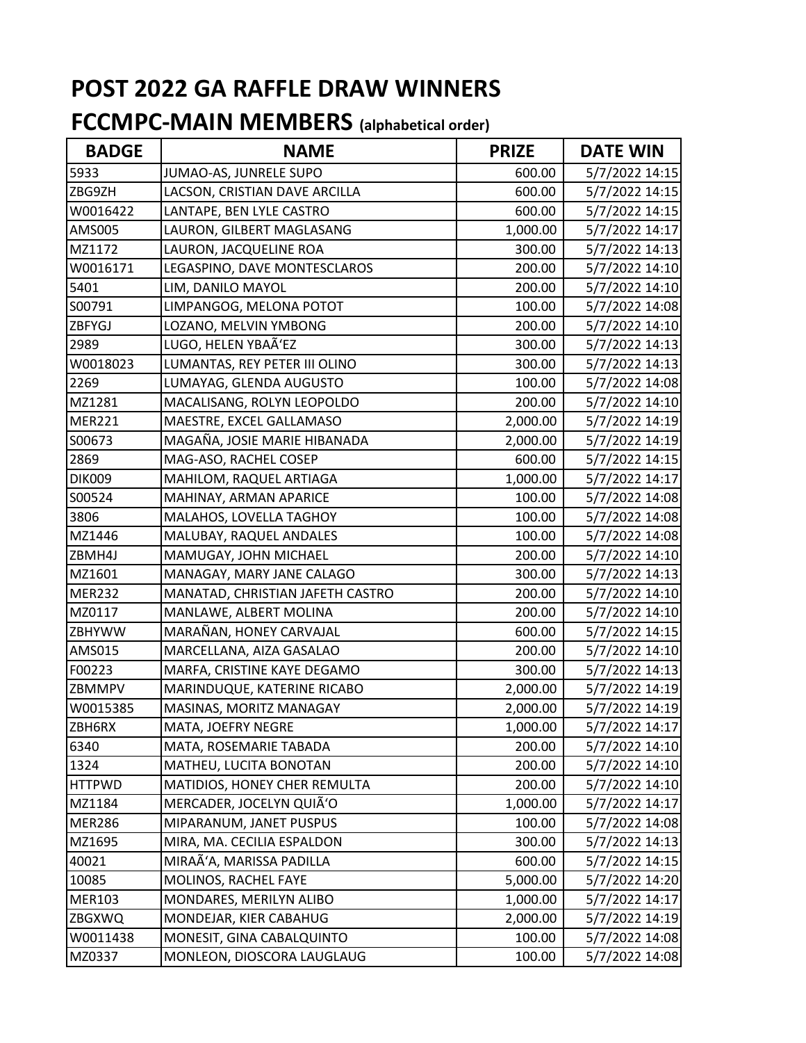| <b>BADGE</b>  | <b>NAME</b>                      | <b>PRIZE</b> | <b>DATE WIN</b> |
|---------------|----------------------------------|--------------|-----------------|
| 5933          | JUMAO-AS, JUNRELE SUPO           | 600.00       | 5/7/2022 14:15  |
| ZBG9ZH        | LACSON, CRISTIAN DAVE ARCILLA    | 600.00       | 5/7/2022 14:15  |
| W0016422      | LANTAPE, BEN LYLE CASTRO         | 600.00       | 5/7/2022 14:15  |
| AMS005        | LAURON, GILBERT MAGLASANG        | 1,000.00     | 5/7/2022 14:17  |
| MZ1172        | LAURON, JACQUELINE ROA           | 300.00       | 5/7/2022 14:13  |
| W0016171      | LEGASPINO, DAVE MONTESCLAROS     | 200.00       | 5/7/2022 14:10  |
| 5401          | LIM, DANILO MAYOL                | 200.00       | 5/7/2022 14:10  |
| S00791        | LIMPANGOG, MELONA POTOT          | 100.00       | 5/7/2022 14:08  |
| ZBFYGJ        | LOZANO, MELVIN YMBONG            | 200.00       | 5/7/2022 14:10  |
| 2989          | LUGO, HELEN YBAÃ'EZ              | 300.00       | 5/7/2022 14:13  |
| W0018023      | LUMANTAS, REY PETER III OLINO    | 300.00       | 5/7/2022 14:13  |
| 2269          | LUMAYAG, GLENDA AUGUSTO          | 100.00       | 5/7/2022 14:08  |
| MZ1281        | MACALISANG, ROLYN LEOPOLDO       | 200.00       | 5/7/2022 14:10  |
| <b>MER221</b> | MAESTRE, EXCEL GALLAMASO         | 2,000.00     | 5/7/2022 14:19  |
| S00673        | MAGAÑA, JOSIE MARIE HIBANADA     | 2,000.00     | 5/7/2022 14:19  |
| 2869          | MAG-ASO, RACHEL COSEP            | 600.00       | 5/7/2022 14:15  |
| <b>DIK009</b> | MAHILOM, RAQUEL ARTIAGA          | 1,000.00     | 5/7/2022 14:17  |
| S00524        | MAHINAY, ARMAN APARICE           | 100.00       | 5/7/2022 14:08  |
| 3806          | MALAHOS, LOVELLA TAGHOY          | 100.00       | 5/7/2022 14:08  |
| MZ1446        | MALUBAY, RAQUEL ANDALES          | 100.00       | 5/7/2022 14:08  |
| ZBMH4J        | MAMUGAY, JOHN MICHAEL            | 200.00       | 5/7/2022 14:10  |
| MZ1601        | MANAGAY, MARY JANE CALAGO        | 300.00       | 5/7/2022 14:13  |
| <b>MER232</b> | MANATAD, CHRISTIAN JAFETH CASTRO | 200.00       | 5/7/2022 14:10  |
| MZ0117        | MANLAWE, ALBERT MOLINA           | 200.00       | 5/7/2022 14:10  |
| ZBHYWW        | MARAÑAN, HONEY CARVAJAL          | 600.00       | 5/7/2022 14:15  |
| AMS015        | MARCELLANA, AIZA GASALAO         | 200.00       | 5/7/2022 14:10  |
| F00223        | MARFA, CRISTINE KAYE DEGAMO      | 300.00       | 5/7/2022 14:13  |
| ZBMMPV        | MARINDUQUE, KATERINE RICABO      | 2,000.00     | 5/7/2022 14:19  |
| W0015385      | MASINAS, MORITZ MANAGAY          | 2,000.00     | 5/7/2022 14:19  |
| ZBH6RX        | MATA, JOEFRY NEGRE               | 1,000.00     | 5/7/2022 14:17  |
| 6340          | MATA, ROSEMARIE TABADA           | 200.00       | 5/7/2022 14:10  |
| 1324          | MATHEU, LUCITA BONOTAN           | 200.00       | 5/7/2022 14:10  |
| <b>HTTPWD</b> | MATIDIOS, HONEY CHER REMULTA     | 200.00       | 5/7/2022 14:10  |
| MZ1184        | MERCADER, JOCELYN QUIÃ'O         | 1,000.00     | 5/7/2022 14:17  |
| <b>MER286</b> | MIPARANUM, JANET PUSPUS          | 100.00       | 5/7/2022 14:08  |
| MZ1695        | MIRA, MA. CECILIA ESPALDON       | 300.00       | 5/7/2022 14:13  |
| 40021         | MIRAÃ'A, MARISSA PADILLA         | 600.00       | 5/7/2022 14:15  |
| 10085         | MOLINOS, RACHEL FAYE             | 5,000.00     | 5/7/2022 14:20  |
| <b>MER103</b> | MONDARES, MERILYN ALIBO          | 1,000.00     | 5/7/2022 14:17  |
| <b>ZBGXWQ</b> | MONDEJAR, KIER CABAHUG           | 2,000.00     | 5/7/2022 14:19  |
| W0011438      | MONESIT, GINA CABALQUINTO        | 100.00       | 5/7/2022 14:08  |
| MZ0337        | MONLEON, DIOSCORA LAUGLAUG       | 100.00       | 5/7/2022 14:08  |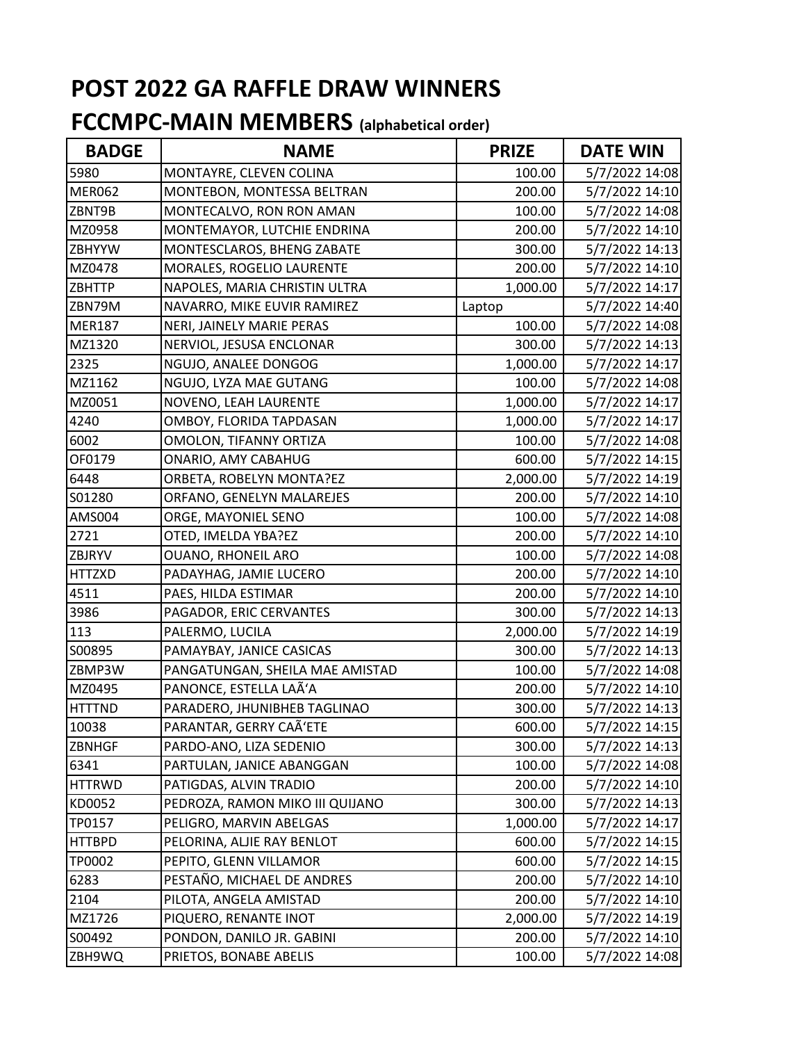| <b>BADGE</b>  | <b>NAME</b>                     | <b>PRIZE</b> | <b>DATE WIN</b> |
|---------------|---------------------------------|--------------|-----------------|
| 5980          | MONTAYRE, CLEVEN COLINA         | 100.00       | 5/7/2022 14:08  |
| <b>MER062</b> | MONTEBON, MONTESSA BELTRAN      | 200.00       | 5/7/2022 14:10  |
| ZBNT9B        | MONTECALVO, RON RON AMAN        | 100.00       | 5/7/2022 14:08  |
| MZ0958        | MONTEMAYOR, LUTCHIE ENDRINA     | 200.00       | 5/7/2022 14:10  |
| <b>ZBHYYW</b> | MONTESCLAROS, BHENG ZABATE      | 300.00       | 5/7/2022 14:13  |
| MZ0478        | MORALES, ROGELIO LAURENTE       | 200.00       | 5/7/2022 14:10  |
| <b>ZBHTTP</b> | NAPOLES, MARIA CHRISTIN ULTRA   | 1,000.00     | 5/7/2022 14:17  |
| ZBN79M        | NAVARRO, MIKE EUVIR RAMIREZ     | Laptop       | 5/7/2022 14:40  |
| <b>MER187</b> | NERI, JAINELY MARIE PERAS       | 100.00       | 5/7/2022 14:08  |
| MZ1320        | NERVIOL, JESUSA ENCLONAR        | 300.00       | 5/7/2022 14:13  |
| 2325          | NGUJO, ANALEE DONGOG            | 1,000.00     | 5/7/2022 14:17  |
| MZ1162        | NGUJO, LYZA MAE GUTANG          | 100.00       | 5/7/2022 14:08  |
| MZ0051        | NOVENO, LEAH LAURENTE           | 1,000.00     | 5/7/2022 14:17  |
| 4240          | OMBOY, FLORIDA TAPDASAN         | 1,000.00     | 5/7/2022 14:17  |
| 6002          | OMOLON, TIFANNY ORTIZA          | 100.00       | 5/7/2022 14:08  |
| OF0179        | ONARIO, AMY CABAHUG             | 600.00       | 5/7/2022 14:15  |
| 6448          | ORBETA, ROBELYN MONTA?EZ        | 2,000.00     | 5/7/2022 14:19  |
| S01280        | ORFANO, GENELYN MALAREJES       | 200.00       | 5/7/2022 14:10  |
| AMS004        | ORGE, MAYONIEL SENO             | 100.00       | 5/7/2022 14:08  |
| 2721          | OTED, IMELDA YBA?EZ             | 200.00       | 5/7/2022 14:10  |
| ZBJRYV        | <b>OUANO, RHONEIL ARO</b>       | 100.00       | 5/7/2022 14:08  |
| <b>HTTZXD</b> | PADAYHAG, JAMIE LUCERO          | 200.00       | 5/7/2022 14:10  |
| 4511          | PAES, HILDA ESTIMAR             | 200.00       | 5/7/2022 14:10  |
| 3986          | PAGADOR, ERIC CERVANTES         | 300.00       | 5/7/2022 14:13  |
| 113           | PALERMO, LUCILA                 | 2,000.00     | 5/7/2022 14:19  |
| S00895        | PAMAYBAY, JANICE CASICAS        | 300.00       | 5/7/2022 14:13  |
| ZBMP3W        | PANGATUNGAN, SHEILA MAE AMISTAD | 100.00       | 5/7/2022 14:08  |
| MZ0495        | PANONCE, ESTELLA LAÃ'A          | 200.00       | 5/7/2022 14:10  |
| <b>HTTTND</b> | PARADERO, JHUNIBHEB TAGLINAO    | 300.00       | 5/7/2022 14:13  |
| 10038         | PARANTAR, GERRY CAÃ'ETE         | 600.00       | 5/7/2022 14:15  |
| <b>ZBNHGF</b> | PARDO-ANO, LIZA SEDENIO         | 300.00       | 5/7/2022 14:13  |
| 6341          | PARTULAN, JANICE ABANGGAN       | 100.00       | 5/7/2022 14:08  |
| <b>HTTRWD</b> | PATIGDAS, ALVIN TRADIO          | 200.00       | 5/7/2022 14:10  |
| KD0052        | PEDROZA, RAMON MIKO III QUIJANO | 300.00       | 5/7/2022 14:13  |
| TP0157        | PELIGRO, MARVIN ABELGAS         | 1,000.00     | 5/7/2022 14:17  |
| <b>HTTBPD</b> | PELORINA, ALJIE RAY BENLOT      | 600.00       | 5/7/2022 14:15  |
| TP0002        | PEPITO, GLENN VILLAMOR          | 600.00       | 5/7/2022 14:15  |
| 6283          | PESTAÑO, MICHAEL DE ANDRES      | 200.00       | 5/7/2022 14:10  |
| 2104          | PILOTA, ANGELA AMISTAD          | 200.00       | 5/7/2022 14:10  |
| MZ1726        | PIQUERO, RENANTE INOT           | 2,000.00     | 5/7/2022 14:19  |
| S00492        | PONDON, DANILO JR. GABINI       | 200.00       | 5/7/2022 14:10  |
| ZBH9WQ        | PRIETOS, BONABE ABELIS          | 100.00       | 5/7/2022 14:08  |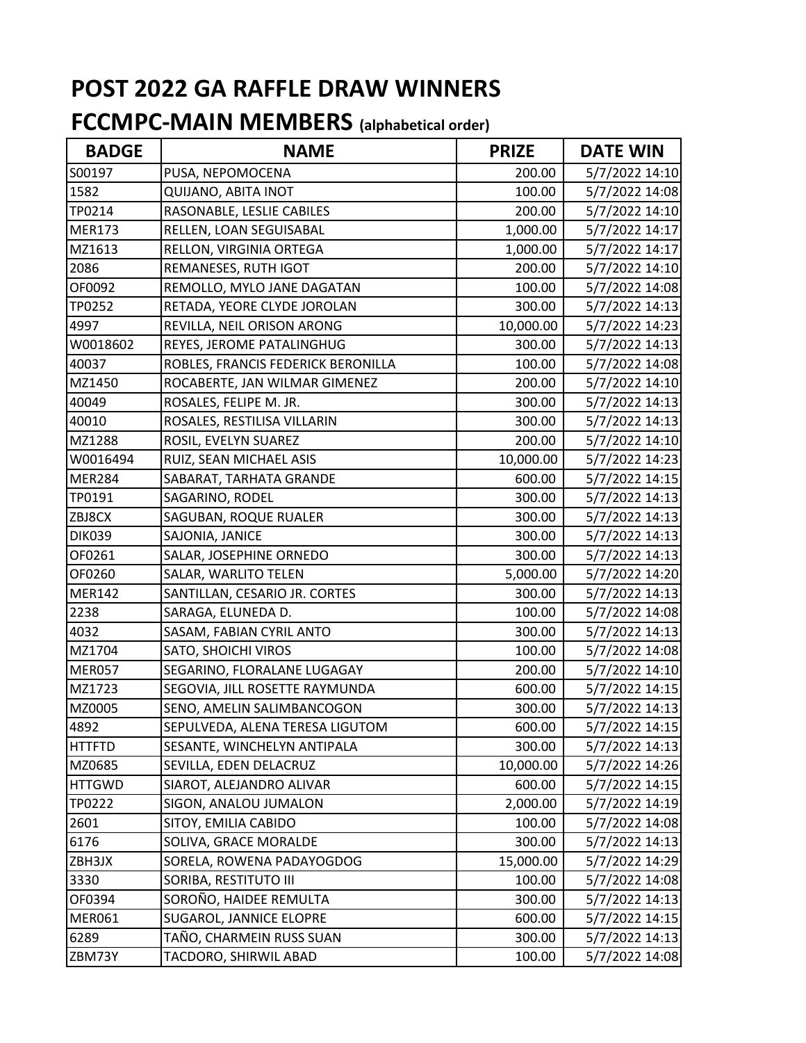| <b>BADGE</b>  | <b>NAME</b>                        | <b>PRIZE</b> | <b>DATE WIN</b> |
|---------------|------------------------------------|--------------|-----------------|
| S00197        | PUSA, NEPOMOCENA                   | 200.00       | 5/7/2022 14:10  |
| 1582          | QUIJANO, ABITA INOT                | 100.00       | 5/7/2022 14:08  |
| TP0214        | RASONABLE, LESLIE CABILES          | 200.00       | 5/7/2022 14:10  |
| <b>MER173</b> | RELLEN, LOAN SEGUISABAL            | 1,000.00     | 5/7/2022 14:17  |
| MZ1613        | RELLON, VIRGINIA ORTEGA            | 1,000.00     | 5/7/2022 14:17  |
| 2086          | REMANESES, RUTH IGOT               | 200.00       | 5/7/2022 14:10  |
| OF0092        | REMOLLO, MYLO JANE DAGATAN         | 100.00       | 5/7/2022 14:08  |
| TP0252        | RETADA, YEORE CLYDE JOROLAN        | 300.00       | 5/7/2022 14:13  |
| 4997          | REVILLA, NEIL ORISON ARONG         | 10,000.00    | 5/7/2022 14:23  |
| W0018602      | REYES, JEROME PATALINGHUG          | 300.00       | 5/7/2022 14:13  |
| 40037         | ROBLES, FRANCIS FEDERICK BERONILLA | 100.00       | 5/7/2022 14:08  |
| MZ1450        | ROCABERTE, JAN WILMAR GIMENEZ      | 200.00       | 5/7/2022 14:10  |
| 40049         | ROSALES, FELIPE M. JR.             | 300.00       | 5/7/2022 14:13  |
| 40010         | ROSALES, RESTILISA VILLARIN        | 300.00       | 5/7/2022 14:13  |
| MZ1288        | ROSIL, EVELYN SUAREZ               | 200.00       | 5/7/2022 14:10  |
| W0016494      | RUIZ, SEAN MICHAEL ASIS            | 10,000.00    | 5/7/2022 14:23  |
| <b>MER284</b> | SABARAT, TARHATA GRANDE            | 600.00       | 5/7/2022 14:15  |
| TP0191        | SAGARINO, RODEL                    | 300.00       | 5/7/2022 14:13  |
| ZBJ8CX        | SAGUBAN, ROQUE RUALER              | 300.00       | 5/7/2022 14:13  |
| <b>DIK039</b> | SAJONIA, JANICE                    | 300.00       | 5/7/2022 14:13  |
| OF0261        | SALAR, JOSEPHINE ORNEDO            | 300.00       | 5/7/2022 14:13  |
| OF0260        | SALAR, WARLITO TELEN               | 5,000.00     | 5/7/2022 14:20  |
| <b>MER142</b> | SANTILLAN, CESARIO JR. CORTES      | 300.00       | 5/7/2022 14:13  |
| 2238          | SARAGA, ELUNEDA D.                 | 100.00       | 5/7/2022 14:08  |
| 4032          | SASAM, FABIAN CYRIL ANTO           | 300.00       | 5/7/2022 14:13  |
| MZ1704        | SATO, SHOICHI VIROS                | 100.00       | 5/7/2022 14:08  |
| MER057        | SEGARINO, FLORALANE LUGAGAY        | 200.00       | 5/7/2022 14:10  |
| MZ1723        | SEGOVIA, JILL ROSETTE RAYMUNDA     | 600.00       | 5/7/2022 14:15  |
| MZ0005        | SENO, AMELIN SALIMBANCOGON         | 300.00       | 5/7/2022 14:13  |
| 4892          | SEPULVEDA, ALENA TERESA LIGUTOM    | 600.00       | 5/7/2022 14:15  |
| <b>HTTFTD</b> | SESANTE, WINCHELYN ANTIPALA        | 300.00       | 5/7/2022 14:13  |
| MZ0685        | SEVILLA, EDEN DELACRUZ             | 10,000.00    | 5/7/2022 14:26  |
| <b>HTTGWD</b> | SIAROT, ALEJANDRO ALIVAR           | 600.00       | 5/7/2022 14:15  |
| TP0222        | SIGON, ANALOU JUMALON              | 2,000.00     | 5/7/2022 14:19  |
| 2601          | SITOY, EMILIA CABIDO               | 100.00       | 5/7/2022 14:08  |
| 6176          | SOLIVA, GRACE MORALDE              | 300.00       | 5/7/2022 14:13  |
| ZBH3JX        | SORELA, ROWENA PADAYOGDOG          | 15,000.00    | 5/7/2022 14:29  |
| 3330          | SORIBA, RESTITUTO III              | 100.00       | 5/7/2022 14:08  |
| OF0394        | SOROÑO, HAIDEE REMULTA             | 300.00       | 5/7/2022 14:13  |
| <b>MER061</b> | SUGAROL, JANNICE ELOPRE            | 600.00       | 5/7/2022 14:15  |
| 6289          | TAÑO, CHARMEIN RUSS SUAN           | 300.00       | 5/7/2022 14:13  |
| ZBM73Y        | TACDORO, SHIRWIL ABAD              | 100.00       | 5/7/2022 14:08  |